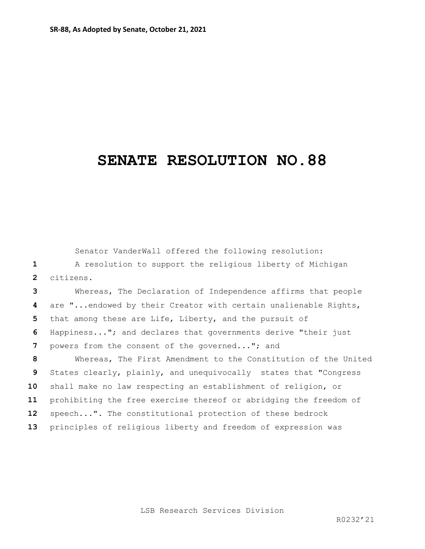## **SENATE RESOLUTION NO.88**

Senator VanderWall offered the following resolution: A resolution to support the religious liberty of Michigan citizens. Whereas, The Declaration of Independence affirms that people are "...endowed by their Creator with certain unalienable Rights, that among these are Life, Liberty, and the pursuit of Happiness..."; and declares that governments derive "their just powers from the consent of the governed..."; and Whereas, The First Amendment to the Constitution of the United States clearly, plainly, and unequivocally states that "Congress shall make no law respecting an establishment of religion, or prohibiting the free exercise thereof or abridging the freedom of speech...". The constitutional protection of these bedrock principles of religious liberty and freedom of expression was

LSB Research Services Division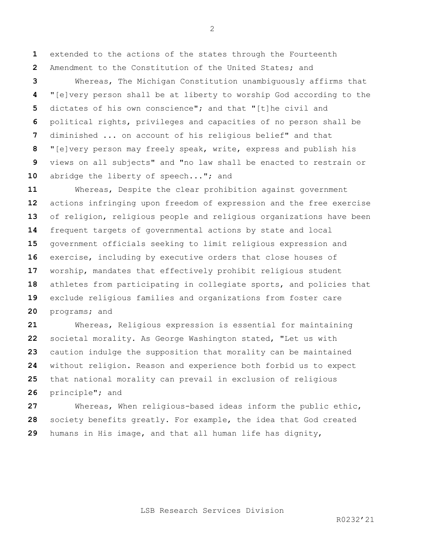extended to the actions of the states through the Fourteenth Amendment to the Constitution of the United States; and

 Whereas, The Michigan Constitution unambiguously affirms that "[e]very person shall be at liberty to worship God according to the dictates of his own conscience"; and that "[t]he civil and political rights, privileges and capacities of no person shall be diminished ... on account of his religious belief" and that "[e]very person may freely speak, write, express and publish his views on all subjects" and "no law shall be enacted to restrain or 10 abridge the liberty of speech..."; and

 Whereas, Despite the clear prohibition against government actions infringing upon freedom of expression and the free exercise of religion, religious people and religious organizations have been frequent targets of governmental actions by state and local government officials seeking to limit religious expression and exercise, including by executive orders that close houses of worship, mandates that effectively prohibit religious student athletes from participating in collegiate sports, and policies that exclude religious families and organizations from foster care programs; and

 Whereas, Religious expression is essential for maintaining societal morality. As George Washington stated, "Let us with caution indulge the supposition that morality can be maintained without religion. Reason and experience both forbid us to expect that national morality can prevail in exclusion of religious principle"; and

 Whereas, When religious-based ideas inform the public ethic, society benefits greatly. For example, the idea that God created humans in His image, and that all human life has dignity,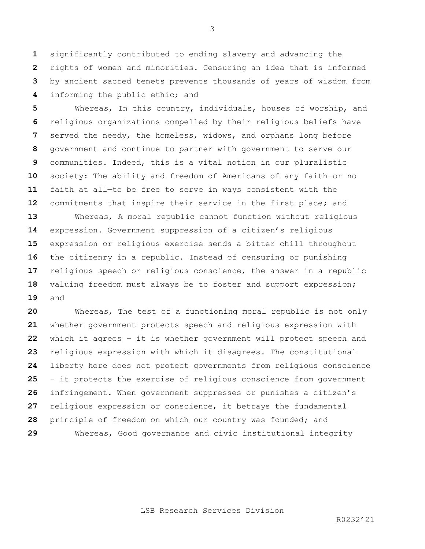significantly contributed to ending slavery and advancing the rights of women and minorities. Censuring an idea that is informed by ancient sacred tenets prevents thousands of years of wisdom from informing the public ethic; and

 Whereas, In this country, individuals, houses of worship, and religious organizations compelled by their religious beliefs have served the needy, the homeless, widows, and orphans long before government and continue to partner with government to serve our communities. Indeed, this is a vital notion in our pluralistic society: The ability and freedom of Americans of any faith—or no faith at all—to be free to serve in ways consistent with the commitments that inspire their service in the first place; and

 Whereas, A moral republic cannot function without religious expression. Government suppression of a citizen's religious expression or religious exercise sends a bitter chill throughout the citizenry in a republic. Instead of censuring or punishing religious speech or religious conscience, the answer in a republic valuing freedom must always be to foster and support expression; and

 Whereas, The test of a functioning moral republic is not only whether government protects speech and religious expression with which it agrees – it is whether government will protect speech and religious expression with which it disagrees. The constitutional liberty here does not protect governments from religious conscience – it protects the exercise of religious conscience from government infringement. When government suppresses or punishes a citizen's religious expression or conscience, it betrays the fundamental principle of freedom on which our country was founded; and Whereas, Good governance and civic institutional integrity

LSB Research Services Division

 $R0232'21$